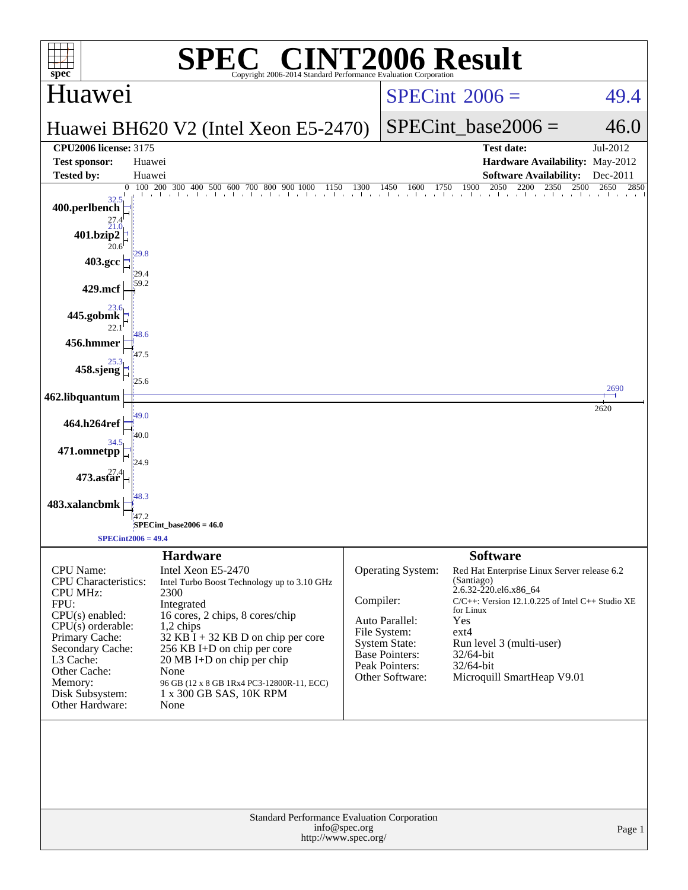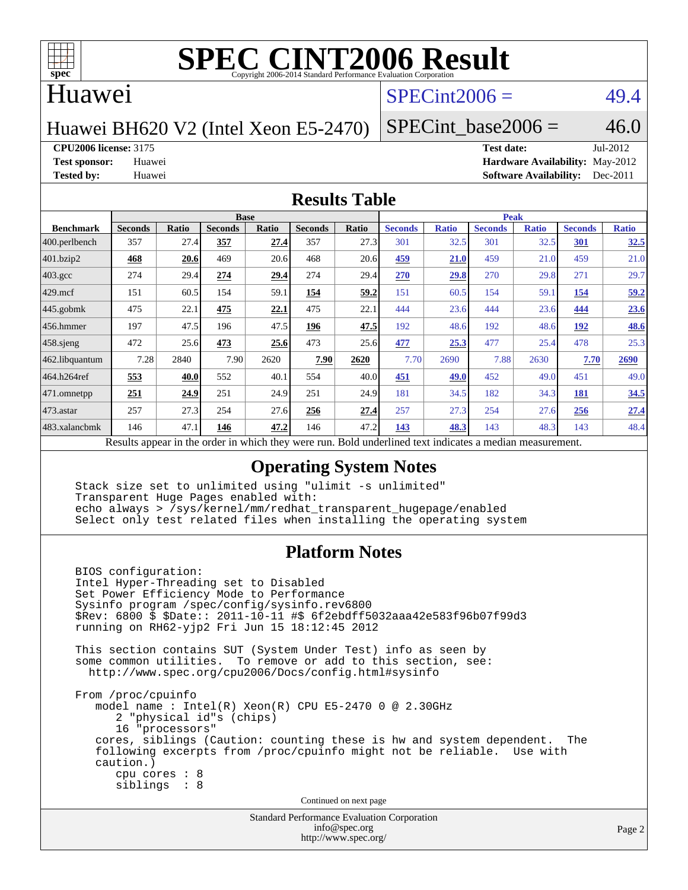

#### Huawei

### $SPECint2006 = 49.4$  $SPECint2006 = 49.4$

Huawei BH620 V2 (Intel Xeon E5-2470)

SPECint base2006 =  $46.0$ 

**[CPU2006 license:](http://www.spec.org/auto/cpu2006/Docs/result-fields.html#CPU2006license)** 3175 **[Test date:](http://www.spec.org/auto/cpu2006/Docs/result-fields.html#Testdate)** Jul-2012

**[Test sponsor:](http://www.spec.org/auto/cpu2006/Docs/result-fields.html#Testsponsor)** Huawei **[Hardware Availability:](http://www.spec.org/auto/cpu2006/Docs/result-fields.html#HardwareAvailability)** May-2012 **[Tested by:](http://www.spec.org/auto/cpu2006/Docs/result-fields.html#Testedby)** Huawei **[Software Availability:](http://www.spec.org/auto/cpu2006/Docs/result-fields.html#SoftwareAvailability)** Dec-2011

#### **[Results Table](http://www.spec.org/auto/cpu2006/Docs/result-fields.html#ResultsTable)**

|                         | <b>Base</b>                                                                                              |              |                |       |                |       | <b>Peak</b>    |              |                |              |                |              |
|-------------------------|----------------------------------------------------------------------------------------------------------|--------------|----------------|-------|----------------|-------|----------------|--------------|----------------|--------------|----------------|--------------|
| <b>Benchmark</b>        | <b>Seconds</b>                                                                                           | <b>Ratio</b> | <b>Seconds</b> | Ratio | <b>Seconds</b> | Ratio | <b>Seconds</b> | <b>Ratio</b> | <b>Seconds</b> | <b>Ratio</b> | <b>Seconds</b> | <b>Ratio</b> |
| $ 400.\text{perlbench}$ | 357                                                                                                      | 27.4         | 357            | 27.4  | 357            | 27.3  | 301            | 32.5         | 301            | 32.5         | 301            | 32.5         |
| 401.bzip2               | 468                                                                                                      | 20.6         | 469            | 20.6  | 468            | 20.6  | 459            | 21.0         | 459            | 21.0         | 459            | 21.0         |
| $403.\mathrm{gcc}$      | 274                                                                                                      | 29.4         | 274            | 29.4  | 274            | 29.4  | 270            | 29.8         | 270            | 29.8         | 271            | 29.7         |
| $429$ .mcf              | 151                                                                                                      | 60.5         | 154            | 59.1  | 154            | 59.2  | 151            | 60.5         | 154            | 59.1         | 154            | 59.2         |
| $445$ .gobmk            | 475                                                                                                      | 22.1         | 475            | 22.1  | 475            | 22.1  | 444            | 23.6         | 444            | 23.6         | 444            | 23.6         |
| 456.hmmer               | 197                                                                                                      | 47.5         | 196            | 47.5  | 196            | 47.5  | 192            | 48.6         | 192            | 48.6         | 192            | <b>48.6</b>  |
| $458$ .sjeng            | 472                                                                                                      | 25.6         | 473            | 25.6  | 473            | 25.6  | 477            | 25.3         | 477            | 25.4         | 478            | 25.3         |
| 462.libquantum          | 7.28                                                                                                     | 2840         | 7.90           | 2620  | 7.90           | 2620  | 7.70           | 2690         | 7.88           | 2630         | 7.70           | 2690         |
| 464.h264ref             | 553                                                                                                      | 40.0         | 552            | 40.1  | 554            | 40.0  | 451            | 49.0         | 452            | 49.0         | 451            | 49.0         |
| $ 471$ .omnetpp         | 251                                                                                                      | 24.9         | 251            | 24.9  | 251            | 24.9  | 181            | 34.5         | 182            | 34.3         | <b>181</b>     | 34.5         |
| $ 473$ . astar          | 257                                                                                                      | 27.3         | 254            | 27.6  | 256            | 27.4  | 257            | 27.3         | 254            | 27.6         | 256            | 27.4         |
| 483.xalancbmk           | 146                                                                                                      | 47.1         | 146            | 47.2  | 146            | 47.2  | 143            | 48.3         | 143            | 48.3         | 143            | 48.4         |
|                         | Results appear in the order in which they were run. Bold underlined text indicates a median measurement. |              |                |       |                |       |                |              |                |              |                |              |

#### **[Operating System Notes](http://www.spec.org/auto/cpu2006/Docs/result-fields.html#OperatingSystemNotes)**

 Stack size set to unlimited using "ulimit -s unlimited" Transparent Huge Pages enabled with: echo always > /sys/kernel/mm/redhat\_transparent\_hugepage/enabled Select only test related files when installing the operating system

#### **[Platform Notes](http://www.spec.org/auto/cpu2006/Docs/result-fields.html#PlatformNotes)**

 BIOS configuration: Intel Hyper-Threading set to Disabled Set Power Efficiency Mode to Performance Sysinfo program /spec/config/sysinfo.rev6800 \$Rev: 6800 \$ \$Date:: 2011-10-11 #\$ 6f2ebdff5032aaa42e583f96b07f99d3 running on RH62-yjp2 Fri Jun 15 18:12:45 2012 This section contains SUT (System Under Test) info as seen by some common utilities. To remove or add to this section, see: <http://www.spec.org/cpu2006/Docs/config.html#sysinfo> From /proc/cpuinfo model name : Intel(R) Xeon(R) CPU E5-2470 0 @ 2.30GHz 2 "physical id"s (chips) 16 "processors" cores, siblings (Caution: counting these is hw and system dependent. The following excerpts from /proc/cpuinfo might not be reliable. Use with caution.) cpu cores : 8 siblings : 8 Continued on next page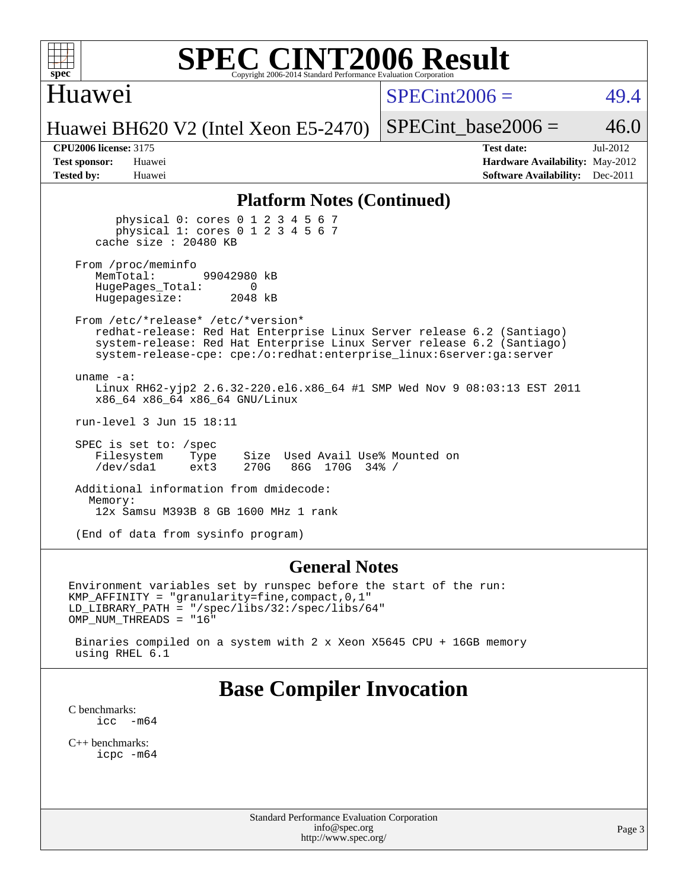

#### Huawei

 $SPECint2006 = 49.4$  $SPECint2006 = 49.4$ 

Huawei BH620 V2 (Intel Xeon E5-2470)

SPECint base2006 =  $46.0$ 

**[CPU2006 license:](http://www.spec.org/auto/cpu2006/Docs/result-fields.html#CPU2006license)** 3175 **[Test date:](http://www.spec.org/auto/cpu2006/Docs/result-fields.html#Testdate)** Jul-2012 **[Test sponsor:](http://www.spec.org/auto/cpu2006/Docs/result-fields.html#Testsponsor)** Huawei **[Hardware Availability:](http://www.spec.org/auto/cpu2006/Docs/result-fields.html#HardwareAvailability)** May-2012 **[Tested by:](http://www.spec.org/auto/cpu2006/Docs/result-fields.html#Testedby)** Huawei **[Software Availability:](http://www.spec.org/auto/cpu2006/Docs/result-fields.html#SoftwareAvailability)** Dec-2011

#### **[Platform Notes \(Continued\)](http://www.spec.org/auto/cpu2006/Docs/result-fields.html#PlatformNotes)**

 physical 0: cores 0 1 2 3 4 5 6 7 physical 1: cores 0 1 2 3 4 5 6 7 cache size : 20480 KB

From /proc/meminfo<br>MemTotal: 99042980 kB HugePages\_Total: 0<br>Hugepagesize: 2048 kB Hugepagesize:

 From /etc/\*release\* /etc/\*version\* redhat-release: Red Hat Enterprise Linux Server release 6.2 (Santiago) system-release: Red Hat Enterprise Linux Server release 6.2 (Santiago) system-release-cpe: cpe:/o:redhat:enterprise\_linux:6server:ga:server

 uname -a: Linux RH62-yjp2 2.6.32-220.el6.x86\_64 #1 SMP Wed Nov 9 08:03:13 EST 2011 x86\_64 x86\_64 x86\_64 GNU/Linux

run-level 3 Jun 15 18:11

 SPEC is set to: /spec Filesystem Type Size Used Avail Use% Mounted on<br>
/dev/sdal ext3 270G 86G 170G 34% / /dev/sda1 ext3 270G 86G 170G 34% /

 Additional information from dmidecode: Memory: 12x Samsu M393B 8 GB 1600 MHz 1 rank

(End of data from sysinfo program)

#### **[General Notes](http://www.spec.org/auto/cpu2006/Docs/result-fields.html#GeneralNotes)**

Environment variables set by runspec before the start of the run: KMP\_AFFINITY = "granularity=fine,compact,0,1" LD\_LIBRARY\_PATH = "/spec/libs/32:/spec/libs/64" OMP\_NUM\_THREADS = "16"

 Binaries compiled on a system with 2 x Xeon X5645 CPU + 16GB memory using RHEL 6.1

## **[Base Compiler Invocation](http://www.spec.org/auto/cpu2006/Docs/result-fields.html#BaseCompilerInvocation)**

[C benchmarks](http://www.spec.org/auto/cpu2006/Docs/result-fields.html#Cbenchmarks):<br> $\frac{icc}{c}$  $-m64$ 

[C++ benchmarks:](http://www.spec.org/auto/cpu2006/Docs/result-fields.html#CXXbenchmarks) [icpc -m64](http://www.spec.org/cpu2006/results/res2012q3/cpu2006-20120723-23821.flags.html#user_CXXbase_intel_icpc_64bit_fc66a5337ce925472a5c54ad6a0de310)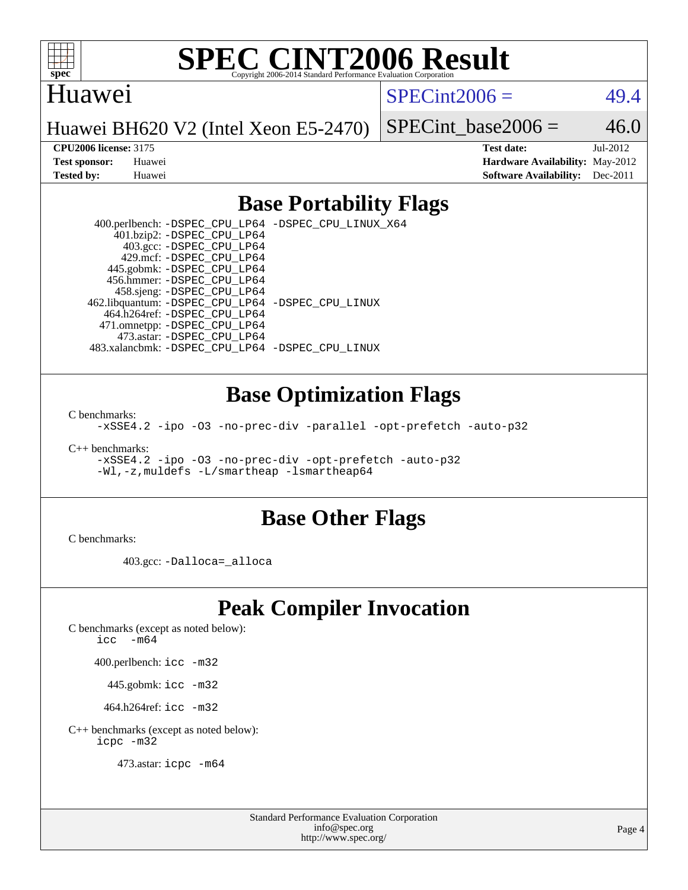

#### Huawei

 $SPECint2006 = 49.4$  $SPECint2006 = 49.4$ 

Huawei BH620 V2 (Intel Xeon E5-2470)

SPECint base2006 =  $46.0$ 

**[CPU2006 license:](http://www.spec.org/auto/cpu2006/Docs/result-fields.html#CPU2006license)** 3175 **[Test date:](http://www.spec.org/auto/cpu2006/Docs/result-fields.html#Testdate)** Jul-2012 **[Test sponsor:](http://www.spec.org/auto/cpu2006/Docs/result-fields.html#Testsponsor)** Huawei **[Hardware Availability:](http://www.spec.org/auto/cpu2006/Docs/result-fields.html#HardwareAvailability)** May-2012 **[Tested by:](http://www.spec.org/auto/cpu2006/Docs/result-fields.html#Testedby)** Huawei **[Software Availability:](http://www.spec.org/auto/cpu2006/Docs/result-fields.html#SoftwareAvailability)** Dec-2011

### **[Base Portability Flags](http://www.spec.org/auto/cpu2006/Docs/result-fields.html#BasePortabilityFlags)**

 400.perlbench: [-DSPEC\\_CPU\\_LP64](http://www.spec.org/cpu2006/results/res2012q3/cpu2006-20120723-23821.flags.html#b400.perlbench_basePORTABILITY_DSPEC_CPU_LP64) [-DSPEC\\_CPU\\_LINUX\\_X64](http://www.spec.org/cpu2006/results/res2012q3/cpu2006-20120723-23821.flags.html#b400.perlbench_baseCPORTABILITY_DSPEC_CPU_LINUX_X64) 401.bzip2: [-DSPEC\\_CPU\\_LP64](http://www.spec.org/cpu2006/results/res2012q3/cpu2006-20120723-23821.flags.html#suite_basePORTABILITY401_bzip2_DSPEC_CPU_LP64) 403.gcc: [-DSPEC\\_CPU\\_LP64](http://www.spec.org/cpu2006/results/res2012q3/cpu2006-20120723-23821.flags.html#suite_basePORTABILITY403_gcc_DSPEC_CPU_LP64) 429.mcf: [-DSPEC\\_CPU\\_LP64](http://www.spec.org/cpu2006/results/res2012q3/cpu2006-20120723-23821.flags.html#suite_basePORTABILITY429_mcf_DSPEC_CPU_LP64) 445.gobmk: [-DSPEC\\_CPU\\_LP64](http://www.spec.org/cpu2006/results/res2012q3/cpu2006-20120723-23821.flags.html#suite_basePORTABILITY445_gobmk_DSPEC_CPU_LP64) 456.hmmer: [-DSPEC\\_CPU\\_LP64](http://www.spec.org/cpu2006/results/res2012q3/cpu2006-20120723-23821.flags.html#suite_basePORTABILITY456_hmmer_DSPEC_CPU_LP64) 458.sjeng: [-DSPEC\\_CPU\\_LP64](http://www.spec.org/cpu2006/results/res2012q3/cpu2006-20120723-23821.flags.html#suite_basePORTABILITY458_sjeng_DSPEC_CPU_LP64) 462.libquantum: [-DSPEC\\_CPU\\_LP64](http://www.spec.org/cpu2006/results/res2012q3/cpu2006-20120723-23821.flags.html#suite_basePORTABILITY462_libquantum_DSPEC_CPU_LP64) [-DSPEC\\_CPU\\_LINUX](http://www.spec.org/cpu2006/results/res2012q3/cpu2006-20120723-23821.flags.html#b462.libquantum_baseCPORTABILITY_DSPEC_CPU_LINUX) 464.h264ref: [-DSPEC\\_CPU\\_LP64](http://www.spec.org/cpu2006/results/res2012q3/cpu2006-20120723-23821.flags.html#suite_basePORTABILITY464_h264ref_DSPEC_CPU_LP64) 471.omnetpp: [-DSPEC\\_CPU\\_LP64](http://www.spec.org/cpu2006/results/res2012q3/cpu2006-20120723-23821.flags.html#suite_basePORTABILITY471_omnetpp_DSPEC_CPU_LP64) 473.astar: [-DSPEC\\_CPU\\_LP64](http://www.spec.org/cpu2006/results/res2012q3/cpu2006-20120723-23821.flags.html#suite_basePORTABILITY473_astar_DSPEC_CPU_LP64) 483.xalancbmk: [-DSPEC\\_CPU\\_LP64](http://www.spec.org/cpu2006/results/res2012q3/cpu2006-20120723-23821.flags.html#suite_basePORTABILITY483_xalancbmk_DSPEC_CPU_LP64) [-DSPEC\\_CPU\\_LINUX](http://www.spec.org/cpu2006/results/res2012q3/cpu2006-20120723-23821.flags.html#b483.xalancbmk_baseCXXPORTABILITY_DSPEC_CPU_LINUX)

#### **[Base Optimization Flags](http://www.spec.org/auto/cpu2006/Docs/result-fields.html#BaseOptimizationFlags)**

[C benchmarks](http://www.spec.org/auto/cpu2006/Docs/result-fields.html#Cbenchmarks):

[-xSSE4.2](http://www.spec.org/cpu2006/results/res2012q3/cpu2006-20120723-23821.flags.html#user_CCbase_f-xSSE42_f91528193cf0b216347adb8b939d4107) [-ipo](http://www.spec.org/cpu2006/results/res2012q3/cpu2006-20120723-23821.flags.html#user_CCbase_f-ipo) [-O3](http://www.spec.org/cpu2006/results/res2012q3/cpu2006-20120723-23821.flags.html#user_CCbase_f-O3) [-no-prec-div](http://www.spec.org/cpu2006/results/res2012q3/cpu2006-20120723-23821.flags.html#user_CCbase_f-no-prec-div) [-parallel](http://www.spec.org/cpu2006/results/res2012q3/cpu2006-20120723-23821.flags.html#user_CCbase_f-parallel) [-opt-prefetch](http://www.spec.org/cpu2006/results/res2012q3/cpu2006-20120723-23821.flags.html#user_CCbase_f-opt-prefetch) [-auto-p32](http://www.spec.org/cpu2006/results/res2012q3/cpu2006-20120723-23821.flags.html#user_CCbase_f-auto-p32)

[C++ benchmarks:](http://www.spec.org/auto/cpu2006/Docs/result-fields.html#CXXbenchmarks)

[-xSSE4.2](http://www.spec.org/cpu2006/results/res2012q3/cpu2006-20120723-23821.flags.html#user_CXXbase_f-xSSE42_f91528193cf0b216347adb8b939d4107) [-ipo](http://www.spec.org/cpu2006/results/res2012q3/cpu2006-20120723-23821.flags.html#user_CXXbase_f-ipo) [-O3](http://www.spec.org/cpu2006/results/res2012q3/cpu2006-20120723-23821.flags.html#user_CXXbase_f-O3) [-no-prec-div](http://www.spec.org/cpu2006/results/res2012q3/cpu2006-20120723-23821.flags.html#user_CXXbase_f-no-prec-div) [-opt-prefetch](http://www.spec.org/cpu2006/results/res2012q3/cpu2006-20120723-23821.flags.html#user_CXXbase_f-opt-prefetch) [-auto-p32](http://www.spec.org/cpu2006/results/res2012q3/cpu2006-20120723-23821.flags.html#user_CXXbase_f-auto-p32) [-Wl,-z,muldefs](http://www.spec.org/cpu2006/results/res2012q3/cpu2006-20120723-23821.flags.html#user_CXXbase_link_force_multiple1_74079c344b956b9658436fd1b6dd3a8a) [-L/smartheap -lsmartheap64](http://www.spec.org/cpu2006/results/res2012q3/cpu2006-20120723-23821.flags.html#user_CXXbase_SmartHeap64_5e654037dadeae1fe403ab4b4466e60b)

#### **[Base Other Flags](http://www.spec.org/auto/cpu2006/Docs/result-fields.html#BaseOtherFlags)**

[C benchmarks](http://www.spec.org/auto/cpu2006/Docs/result-fields.html#Cbenchmarks):

403.gcc: [-Dalloca=\\_alloca](http://www.spec.org/cpu2006/results/res2012q3/cpu2006-20120723-23821.flags.html#b403.gcc_baseEXTRA_CFLAGS_Dalloca_be3056838c12de2578596ca5467af7f3)

## **[Peak Compiler Invocation](http://www.spec.org/auto/cpu2006/Docs/result-fields.html#PeakCompilerInvocation)**

[C benchmarks \(except as noted below\)](http://www.spec.org/auto/cpu2006/Docs/result-fields.html#Cbenchmarksexceptasnotedbelow):

icc  $-m64$ 

400.perlbench: [icc -m32](http://www.spec.org/cpu2006/results/res2012q3/cpu2006-20120723-23821.flags.html#user_peakCCLD400_perlbench_intel_icc_a6a621f8d50482236b970c6ac5f55f93)

445.gobmk: [icc -m32](http://www.spec.org/cpu2006/results/res2012q3/cpu2006-20120723-23821.flags.html#user_peakCCLD445_gobmk_intel_icc_a6a621f8d50482236b970c6ac5f55f93)

464.h264ref: [icc -m32](http://www.spec.org/cpu2006/results/res2012q3/cpu2006-20120723-23821.flags.html#user_peakCCLD464_h264ref_intel_icc_a6a621f8d50482236b970c6ac5f55f93)

[C++ benchmarks \(except as noted below\):](http://www.spec.org/auto/cpu2006/Docs/result-fields.html#CXXbenchmarksexceptasnotedbelow) [icpc -m32](http://www.spec.org/cpu2006/results/res2012q3/cpu2006-20120723-23821.flags.html#user_CXXpeak_intel_icpc_4e5a5ef1a53fd332b3c49e69c3330699)

473.astar: [icpc -m64](http://www.spec.org/cpu2006/results/res2012q3/cpu2006-20120723-23821.flags.html#user_peakCXXLD473_astar_intel_icpc_64bit_fc66a5337ce925472a5c54ad6a0de310)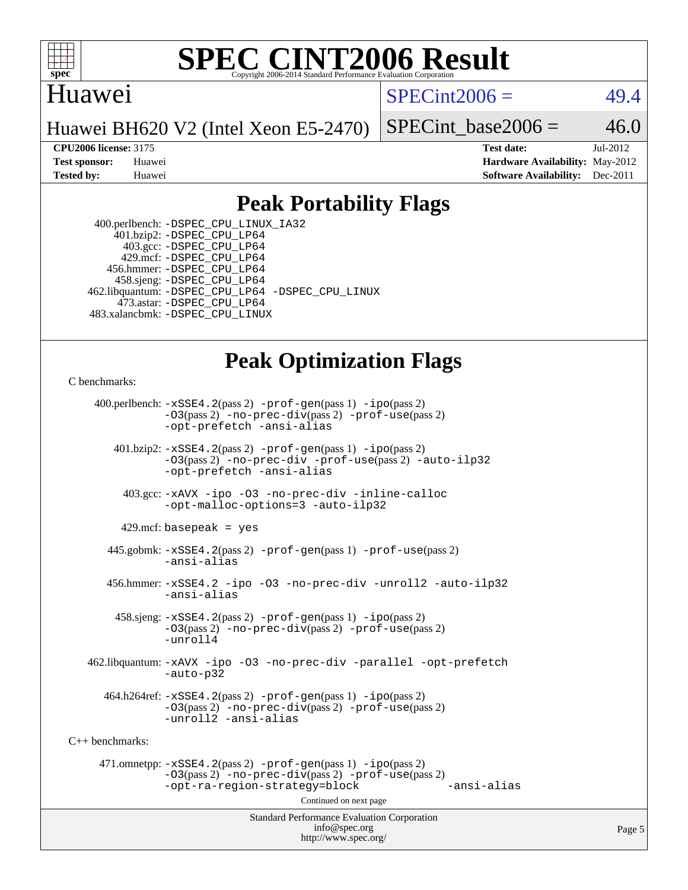

#### Huawei

 $SPECint2006 = 49.4$  $SPECint2006 = 49.4$ 

Huawei BH620 V2 (Intel Xeon E5-2470)

SPECint base2006 =  $46.0$ 

**[CPU2006 license:](http://www.spec.org/auto/cpu2006/Docs/result-fields.html#CPU2006license)** 3175 **[Test date:](http://www.spec.org/auto/cpu2006/Docs/result-fields.html#Testdate)** Jul-2012 **[Test sponsor:](http://www.spec.org/auto/cpu2006/Docs/result-fields.html#Testsponsor)** Huawei **[Hardware Availability:](http://www.spec.org/auto/cpu2006/Docs/result-fields.html#HardwareAvailability)** May-2012 **[Tested by:](http://www.spec.org/auto/cpu2006/Docs/result-fields.html#Testedby)** Huawei **[Software Availability:](http://www.spec.org/auto/cpu2006/Docs/result-fields.html#SoftwareAvailability)** Dec-2011

### **[Peak Portability Flags](http://www.spec.org/auto/cpu2006/Docs/result-fields.html#PeakPortabilityFlags)**

 400.perlbench: [-DSPEC\\_CPU\\_LINUX\\_IA32](http://www.spec.org/cpu2006/results/res2012q3/cpu2006-20120723-23821.flags.html#b400.perlbench_peakCPORTABILITY_DSPEC_CPU_LINUX_IA32) 401.bzip2: [-DSPEC\\_CPU\\_LP64](http://www.spec.org/cpu2006/results/res2012q3/cpu2006-20120723-23821.flags.html#suite_peakPORTABILITY401_bzip2_DSPEC_CPU_LP64) 403.gcc: [-DSPEC\\_CPU\\_LP64](http://www.spec.org/cpu2006/results/res2012q3/cpu2006-20120723-23821.flags.html#suite_peakPORTABILITY403_gcc_DSPEC_CPU_LP64) 429.mcf: [-DSPEC\\_CPU\\_LP64](http://www.spec.org/cpu2006/results/res2012q3/cpu2006-20120723-23821.flags.html#suite_peakPORTABILITY429_mcf_DSPEC_CPU_LP64) 456.hmmer: [-DSPEC\\_CPU\\_LP64](http://www.spec.org/cpu2006/results/res2012q3/cpu2006-20120723-23821.flags.html#suite_peakPORTABILITY456_hmmer_DSPEC_CPU_LP64) 458.sjeng: [-DSPEC\\_CPU\\_LP64](http://www.spec.org/cpu2006/results/res2012q3/cpu2006-20120723-23821.flags.html#suite_peakPORTABILITY458_sjeng_DSPEC_CPU_LP64) 462.libquantum: [-DSPEC\\_CPU\\_LP64](http://www.spec.org/cpu2006/results/res2012q3/cpu2006-20120723-23821.flags.html#suite_peakPORTABILITY462_libquantum_DSPEC_CPU_LP64) [-DSPEC\\_CPU\\_LINUX](http://www.spec.org/cpu2006/results/res2012q3/cpu2006-20120723-23821.flags.html#b462.libquantum_peakCPORTABILITY_DSPEC_CPU_LINUX) 473.astar: [-DSPEC\\_CPU\\_LP64](http://www.spec.org/cpu2006/results/res2012q3/cpu2006-20120723-23821.flags.html#suite_peakPORTABILITY473_astar_DSPEC_CPU_LP64) 483.xalancbmk: [-DSPEC\\_CPU\\_LINUX](http://www.spec.org/cpu2006/results/res2012q3/cpu2006-20120723-23821.flags.html#b483.xalancbmk_peakCXXPORTABILITY_DSPEC_CPU_LINUX)

## **[Peak Optimization Flags](http://www.spec.org/auto/cpu2006/Docs/result-fields.html#PeakOptimizationFlags)**

[C benchmarks](http://www.spec.org/auto/cpu2006/Docs/result-fields.html#Cbenchmarks):

Standard Performance Evaluation Corporation [info@spec.org](mailto:info@spec.org) 400.perlbench: [-xSSE4.2](http://www.spec.org/cpu2006/results/res2012q3/cpu2006-20120723-23821.flags.html#user_peakPASS2_CFLAGSPASS2_LDCFLAGS400_perlbench_f-xSSE42_f91528193cf0b216347adb8b939d4107)(pass 2) [-prof-gen](http://www.spec.org/cpu2006/results/res2012q3/cpu2006-20120723-23821.flags.html#user_peakPASS1_CFLAGSPASS1_LDCFLAGS400_perlbench_prof_gen_e43856698f6ca7b7e442dfd80e94a8fc)(pass 1) [-ipo](http://www.spec.org/cpu2006/results/res2012q3/cpu2006-20120723-23821.flags.html#user_peakPASS2_CFLAGSPASS2_LDCFLAGS400_perlbench_f-ipo)(pass 2) [-O3](http://www.spec.org/cpu2006/results/res2012q3/cpu2006-20120723-23821.flags.html#user_peakPASS2_CFLAGSPASS2_LDCFLAGS400_perlbench_f-O3)(pass 2) [-no-prec-div](http://www.spec.org/cpu2006/results/res2012q3/cpu2006-20120723-23821.flags.html#user_peakPASS2_CFLAGSPASS2_LDCFLAGS400_perlbench_f-no-prec-div)(pass 2) [-prof-use](http://www.spec.org/cpu2006/results/res2012q3/cpu2006-20120723-23821.flags.html#user_peakPASS2_CFLAGSPASS2_LDCFLAGS400_perlbench_prof_use_bccf7792157ff70d64e32fe3e1250b55)(pass 2) [-opt-prefetch](http://www.spec.org/cpu2006/results/res2012q3/cpu2006-20120723-23821.flags.html#user_peakCOPTIMIZE400_perlbench_f-opt-prefetch) [-ansi-alias](http://www.spec.org/cpu2006/results/res2012q3/cpu2006-20120723-23821.flags.html#user_peakCOPTIMIZE400_perlbench_f-ansi-alias) 401.bzip2: [-xSSE4.2](http://www.spec.org/cpu2006/results/res2012q3/cpu2006-20120723-23821.flags.html#user_peakPASS2_CFLAGSPASS2_LDCFLAGS401_bzip2_f-xSSE42_f91528193cf0b216347adb8b939d4107)(pass 2) [-prof-gen](http://www.spec.org/cpu2006/results/res2012q3/cpu2006-20120723-23821.flags.html#user_peakPASS1_CFLAGSPASS1_LDCFLAGS401_bzip2_prof_gen_e43856698f6ca7b7e442dfd80e94a8fc)(pass 1) [-ipo](http://www.spec.org/cpu2006/results/res2012q3/cpu2006-20120723-23821.flags.html#user_peakPASS2_CFLAGSPASS2_LDCFLAGS401_bzip2_f-ipo)(pass 2) [-O3](http://www.spec.org/cpu2006/results/res2012q3/cpu2006-20120723-23821.flags.html#user_peakPASS2_CFLAGSPASS2_LDCFLAGS401_bzip2_f-O3)(pass 2) [-no-prec-div](http://www.spec.org/cpu2006/results/res2012q3/cpu2006-20120723-23821.flags.html#user_peakCOPTIMIZEPASS2_CFLAGSPASS2_LDCFLAGS401_bzip2_f-no-prec-div) [-prof-use](http://www.spec.org/cpu2006/results/res2012q3/cpu2006-20120723-23821.flags.html#user_peakPASS2_CFLAGSPASS2_LDCFLAGS401_bzip2_prof_use_bccf7792157ff70d64e32fe3e1250b55)(pass 2) [-auto-ilp32](http://www.spec.org/cpu2006/results/res2012q3/cpu2006-20120723-23821.flags.html#user_peakCOPTIMIZE401_bzip2_f-auto-ilp32) [-opt-prefetch](http://www.spec.org/cpu2006/results/res2012q3/cpu2006-20120723-23821.flags.html#user_peakCOPTIMIZE401_bzip2_f-opt-prefetch) [-ansi-alias](http://www.spec.org/cpu2006/results/res2012q3/cpu2006-20120723-23821.flags.html#user_peakCOPTIMIZE401_bzip2_f-ansi-alias) 403.gcc: [-xAVX](http://www.spec.org/cpu2006/results/res2012q3/cpu2006-20120723-23821.flags.html#user_peakCOPTIMIZE403_gcc_f-xAVX) [-ipo](http://www.spec.org/cpu2006/results/res2012q3/cpu2006-20120723-23821.flags.html#user_peakCOPTIMIZE403_gcc_f-ipo) [-O3](http://www.spec.org/cpu2006/results/res2012q3/cpu2006-20120723-23821.flags.html#user_peakCOPTIMIZE403_gcc_f-O3) [-no-prec-div](http://www.spec.org/cpu2006/results/res2012q3/cpu2006-20120723-23821.flags.html#user_peakCOPTIMIZE403_gcc_f-no-prec-div) [-inline-calloc](http://www.spec.org/cpu2006/results/res2012q3/cpu2006-20120723-23821.flags.html#user_peakCOPTIMIZE403_gcc_f-inline-calloc) [-opt-malloc-options=3](http://www.spec.org/cpu2006/results/res2012q3/cpu2006-20120723-23821.flags.html#user_peakCOPTIMIZE403_gcc_f-opt-malloc-options_13ab9b803cf986b4ee62f0a5998c2238) [-auto-ilp32](http://www.spec.org/cpu2006/results/res2012q3/cpu2006-20120723-23821.flags.html#user_peakCOPTIMIZE403_gcc_f-auto-ilp32)  $429$ .mcf: basepeak = yes 445.gobmk: [-xSSE4.2](http://www.spec.org/cpu2006/results/res2012q3/cpu2006-20120723-23821.flags.html#user_peakPASS2_CFLAGSPASS2_LDCFLAGS445_gobmk_f-xSSE42_f91528193cf0b216347adb8b939d4107)(pass 2) [-prof-gen](http://www.spec.org/cpu2006/results/res2012q3/cpu2006-20120723-23821.flags.html#user_peakPASS1_CFLAGSPASS1_LDCFLAGS445_gobmk_prof_gen_e43856698f6ca7b7e442dfd80e94a8fc)(pass 1) [-prof-use](http://www.spec.org/cpu2006/results/res2012q3/cpu2006-20120723-23821.flags.html#user_peakPASS2_CFLAGSPASS2_LDCFLAGS445_gobmk_prof_use_bccf7792157ff70d64e32fe3e1250b55)(pass 2) [-ansi-alias](http://www.spec.org/cpu2006/results/res2012q3/cpu2006-20120723-23821.flags.html#user_peakCOPTIMIZE445_gobmk_f-ansi-alias) 456.hmmer: [-xSSE4.2](http://www.spec.org/cpu2006/results/res2012q3/cpu2006-20120723-23821.flags.html#user_peakCOPTIMIZE456_hmmer_f-xSSE42_f91528193cf0b216347adb8b939d4107) [-ipo](http://www.spec.org/cpu2006/results/res2012q3/cpu2006-20120723-23821.flags.html#user_peakCOPTIMIZE456_hmmer_f-ipo) [-O3](http://www.spec.org/cpu2006/results/res2012q3/cpu2006-20120723-23821.flags.html#user_peakCOPTIMIZE456_hmmer_f-O3) [-no-prec-div](http://www.spec.org/cpu2006/results/res2012q3/cpu2006-20120723-23821.flags.html#user_peakCOPTIMIZE456_hmmer_f-no-prec-div) [-unroll2](http://www.spec.org/cpu2006/results/res2012q3/cpu2006-20120723-23821.flags.html#user_peakCOPTIMIZE456_hmmer_f-unroll_784dae83bebfb236979b41d2422d7ec2) [-auto-ilp32](http://www.spec.org/cpu2006/results/res2012q3/cpu2006-20120723-23821.flags.html#user_peakCOPTIMIZE456_hmmer_f-auto-ilp32) [-ansi-alias](http://www.spec.org/cpu2006/results/res2012q3/cpu2006-20120723-23821.flags.html#user_peakCOPTIMIZE456_hmmer_f-ansi-alias) 458.sjeng: [-xSSE4.2](http://www.spec.org/cpu2006/results/res2012q3/cpu2006-20120723-23821.flags.html#user_peakPASS2_CFLAGSPASS2_LDCFLAGS458_sjeng_f-xSSE42_f91528193cf0b216347adb8b939d4107)(pass 2) [-prof-gen](http://www.spec.org/cpu2006/results/res2012q3/cpu2006-20120723-23821.flags.html#user_peakPASS1_CFLAGSPASS1_LDCFLAGS458_sjeng_prof_gen_e43856698f6ca7b7e442dfd80e94a8fc)(pass 1) [-ipo](http://www.spec.org/cpu2006/results/res2012q3/cpu2006-20120723-23821.flags.html#user_peakPASS2_CFLAGSPASS2_LDCFLAGS458_sjeng_f-ipo)(pass 2) [-O3](http://www.spec.org/cpu2006/results/res2012q3/cpu2006-20120723-23821.flags.html#user_peakPASS2_CFLAGSPASS2_LDCFLAGS458_sjeng_f-O3)(pass 2) [-no-prec-div](http://www.spec.org/cpu2006/results/res2012q3/cpu2006-20120723-23821.flags.html#user_peakPASS2_CFLAGSPASS2_LDCFLAGS458_sjeng_f-no-prec-div)(pass 2) [-prof-use](http://www.spec.org/cpu2006/results/res2012q3/cpu2006-20120723-23821.flags.html#user_peakPASS2_CFLAGSPASS2_LDCFLAGS458_sjeng_prof_use_bccf7792157ff70d64e32fe3e1250b55)(pass 2) [-unroll4](http://www.spec.org/cpu2006/results/res2012q3/cpu2006-20120723-23821.flags.html#user_peakCOPTIMIZE458_sjeng_f-unroll_4e5e4ed65b7fd20bdcd365bec371b81f) 462.libquantum: [-xAVX](http://www.spec.org/cpu2006/results/res2012q3/cpu2006-20120723-23821.flags.html#user_peakCOPTIMIZE462_libquantum_f-xAVX) [-ipo](http://www.spec.org/cpu2006/results/res2012q3/cpu2006-20120723-23821.flags.html#user_peakCOPTIMIZE462_libquantum_f-ipo) [-O3](http://www.spec.org/cpu2006/results/res2012q3/cpu2006-20120723-23821.flags.html#user_peakCOPTIMIZE462_libquantum_f-O3) [-no-prec-div](http://www.spec.org/cpu2006/results/res2012q3/cpu2006-20120723-23821.flags.html#user_peakCOPTIMIZE462_libquantum_f-no-prec-div) [-parallel](http://www.spec.org/cpu2006/results/res2012q3/cpu2006-20120723-23821.flags.html#user_peakCOPTIMIZE462_libquantum_f-parallel) [-opt-prefetch](http://www.spec.org/cpu2006/results/res2012q3/cpu2006-20120723-23821.flags.html#user_peakCOPTIMIZE462_libquantum_f-opt-prefetch) [-auto-p32](http://www.spec.org/cpu2006/results/res2012q3/cpu2006-20120723-23821.flags.html#user_peakCOPTIMIZE462_libquantum_f-auto-p32)  $464.h264$ ref:  $-xSSE4$ .  $2(pass 2)$  [-prof-gen](http://www.spec.org/cpu2006/results/res2012q3/cpu2006-20120723-23821.flags.html#user_peakPASS1_CFLAGSPASS1_LDCFLAGS464_h264ref_prof_gen_e43856698f6ca7b7e442dfd80e94a8fc)(pass 1) [-ipo](http://www.spec.org/cpu2006/results/res2012q3/cpu2006-20120723-23821.flags.html#user_peakPASS2_CFLAGSPASS2_LDCFLAGS464_h264ref_f-ipo)(pass 2) [-O3](http://www.spec.org/cpu2006/results/res2012q3/cpu2006-20120723-23821.flags.html#user_peakPASS2_CFLAGSPASS2_LDCFLAGS464_h264ref_f-O3)(pass 2) [-no-prec-div](http://www.spec.org/cpu2006/results/res2012q3/cpu2006-20120723-23821.flags.html#user_peakPASS2_CFLAGSPASS2_LDCFLAGS464_h264ref_f-no-prec-div)(pass 2) [-prof-use](http://www.spec.org/cpu2006/results/res2012q3/cpu2006-20120723-23821.flags.html#user_peakPASS2_CFLAGSPASS2_LDCFLAGS464_h264ref_prof_use_bccf7792157ff70d64e32fe3e1250b55)(pass 2) [-unroll2](http://www.spec.org/cpu2006/results/res2012q3/cpu2006-20120723-23821.flags.html#user_peakCOPTIMIZE464_h264ref_f-unroll_784dae83bebfb236979b41d2422d7ec2) [-ansi-alias](http://www.spec.org/cpu2006/results/res2012q3/cpu2006-20120723-23821.flags.html#user_peakCOPTIMIZE464_h264ref_f-ansi-alias) [C++ benchmarks:](http://www.spec.org/auto/cpu2006/Docs/result-fields.html#CXXbenchmarks) 471.omnetpp: [-xSSE4.2](http://www.spec.org/cpu2006/results/res2012q3/cpu2006-20120723-23821.flags.html#user_peakPASS2_CXXFLAGSPASS2_LDCXXFLAGS471_omnetpp_f-xSSE42_f91528193cf0b216347adb8b939d4107)(pass 2) [-prof-gen](http://www.spec.org/cpu2006/results/res2012q3/cpu2006-20120723-23821.flags.html#user_peakPASS1_CXXFLAGSPASS1_LDCXXFLAGS471_omnetpp_prof_gen_e43856698f6ca7b7e442dfd80e94a8fc)(pass 1) [-ipo](http://www.spec.org/cpu2006/results/res2012q3/cpu2006-20120723-23821.flags.html#user_peakPASS2_CXXFLAGSPASS2_LDCXXFLAGS471_omnetpp_f-ipo)(pass 2) [-O3](http://www.spec.org/cpu2006/results/res2012q3/cpu2006-20120723-23821.flags.html#user_peakPASS2_CXXFLAGSPASS2_LDCXXFLAGS471_omnetpp_f-O3)(pass 2) [-no-prec-div](http://www.spec.org/cpu2006/results/res2012q3/cpu2006-20120723-23821.flags.html#user_peakPASS2_CXXFLAGSPASS2_LDCXXFLAGS471_omnetpp_f-no-prec-div)(pass 2) [-prof-use](http://www.spec.org/cpu2006/results/res2012q3/cpu2006-20120723-23821.flags.html#user_peakPASS2_CXXFLAGSPASS2_LDCXXFLAGS471_omnetpp_prof_use_bccf7792157ff70d64e32fe3e1250b55)(pass 2) [-opt-ra-region-strategy=block](http://www.spec.org/cpu2006/results/res2012q3/cpu2006-20120723-23821.flags.html#user_peakCXXOPTIMIZE471_omnetpp_f-opt-ra-region-strategy_5382940c29ea30302d682fc74bfe0147) [-ansi-alias](http://www.spec.org/cpu2006/results/res2012q3/cpu2006-20120723-23821.flags.html#user_peakCXXOPTIMIZE471_omnetpp_f-ansi-alias) Continued on next page

<http://www.spec.org/>